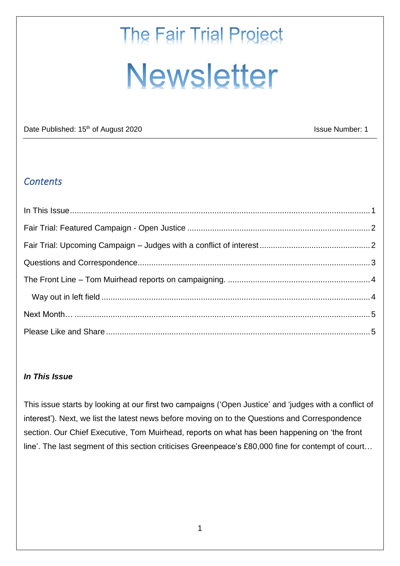# **The Fair Trial Project Newsletter**

Date Published: 15<sup>th</sup> of August 2020 **ISSUE AUGUST 2020** Issue Number: 1

## *Contents*

#### <span id="page-0-0"></span>*In This Issue*

This issue starts by looking at our first two campaigns ('Open Justice' and 'judges with a conflict of interest'). Next, we list the latest news before moving on to the Questions and Correspondence section. Our Chief Executive, Tom Muirhead, reports on what has been happening on 'the front line'. The last segment of this section criticises Greenpeace's £80,000 fine for contempt of court…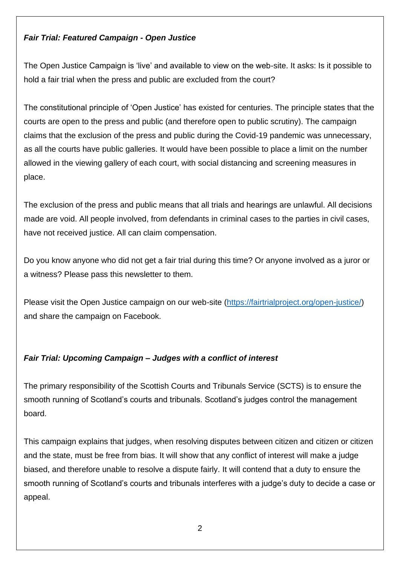### <span id="page-1-0"></span>*Fair Trial: Featured Campaign - Open Justice*

The Open Justice Campaign is 'live' and available to view on the web-site. It asks: Is it possible to hold a fair trial when the press and public are excluded from the court?

The constitutional principle of 'Open Justice' has existed for centuries. The principle states that the courts are open to the press and public (and therefore open to public scrutiny). The campaign claims that the exclusion of the press and public during the Covid-19 pandemic was unnecessary, as all the courts have public galleries. It would have been possible to place a limit on the number allowed in the viewing gallery of each court, with social distancing and screening measures in place.

The exclusion of the press and public means that all trials and hearings are unlawful. All decisions made are void. All people involved, from defendants in criminal cases to the parties in civil cases, have not received justice. All can claim compensation.

Do you know anyone who did not get a fair trial during this time? Or anyone involved as a juror or a witness? Please pass this newsletter to them.

Please visit the Open Justice campaign on our web-site [\(https://fairtrialproject.org/open-justice/\)](https://fairtrialproject.org/open-justice/) and share the campaign on Facebook.

### <span id="page-1-1"></span>*Fair Trial: Upcoming Campaign – Judges with a conflict of interest*

The primary responsibility of the Scottish Courts and Tribunals Service (SCTS) is to ensure the smooth running of Scotland's courts and tribunals. Scotland's judges control the management board.

This campaign explains that judges, when resolving disputes between citizen and citizen or citizen and the state, must be free from bias. It will show that any conflict of interest will make a judge biased, and therefore unable to resolve a dispute fairly. It will contend that a duty to ensure the smooth running of Scotland's courts and tribunals interferes with a judge's duty to decide a case or appeal.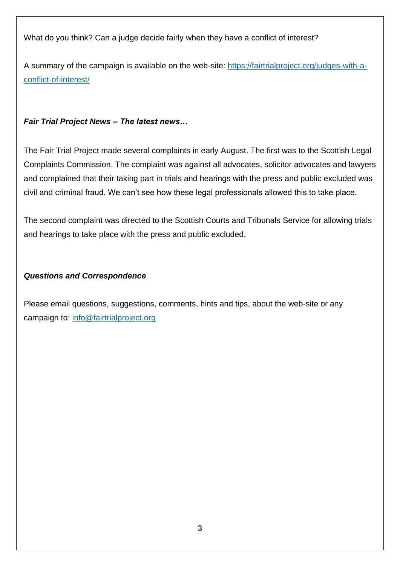What do you think? Can a judge decide fairly when they have a conflict of interest?

A summary of the campaign is available on the web-site: [https://fairtrialproject.org/judges-with-a](https://fairtrialproject.org/judges-with-a-conflict-of-interest/)[conflict-of-interest/](https://fairtrialproject.org/judges-with-a-conflict-of-interest/)

#### *Fair Trial Project News – The latest news…*

The Fair Trial Project made several complaints in early August. The first was to the Scottish Legal Complaints Commission. The complaint was against all advocates, solicitor advocates and lawyers and complained that their taking part in trials and hearings with the press and public excluded was civil and criminal fraud. We can't see how these legal professionals allowed this to take place.

The second complaint was directed to the Scottish Courts and Tribunals Service for allowing trials and hearings to take place with the press and public excluded.

#### <span id="page-2-0"></span>*Questions and Correspondence*

Please email questions, suggestions, comments, hints and tips, about the web-site or any campaign to: [info@fairtrialproject.org](mailto:info@fairtrialproject.org)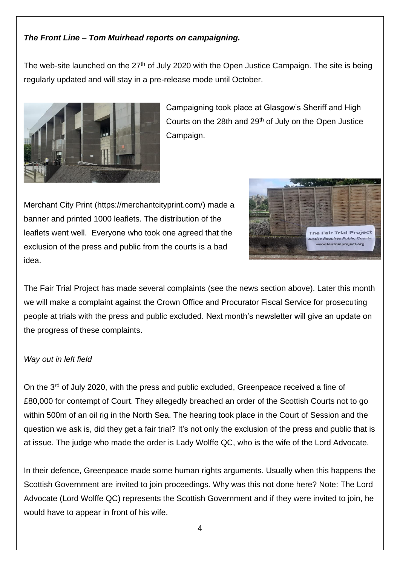#### <span id="page-3-0"></span>*The Front Line – Tom Muirhead reports on campaigning.*

The web-site launched on the  $27<sup>th</sup>$  of July 2020 with the Open Justice Campaign. The site is being regularly updated and will stay in a pre-release mode until October.



Campaigning took place at Glasgow's Sheriff and High Courts on the 28th and 29<sup>th</sup> of July on the Open Justice Campaign.

Merchant City Print (https://merchantcityprint.com/) made a banner and printed 1000 leaflets. The distribution of the leaflets went well. Everyone who took one agreed that the exclusion of the press and public from the courts is a bad idea.



The Fair Trial Project has made several complaints (see the news section above). Later this month we will make a complaint against the Crown Office and Procurator Fiscal Service for prosecuting people at trials with the press and public excluded. Next month's newsletter will give an update on the progress of these complaints.

#### <span id="page-3-1"></span>*Way out in left field*

On the 3rd of July 2020, with the press and public excluded, Greenpeace received a fine of £80,000 for contempt of Court. They allegedly breached an order of the Scottish Courts not to go within 500m of an oil rig in the North Sea. The hearing took place in the Court of Session and the question we ask is, did they get a fair trial? It's not only the exclusion of the press and public that is at issue. The judge who made the order is Lady Wolffe QC, who is the wife of the Lord Advocate.

In their defence, Greenpeace made some human rights arguments. Usually when this happens the Scottish Government are invited to join proceedings. Why was this not done here? Note: The Lord Advocate (Lord Wolffe QC) represents the Scottish Government and if they were invited to join, he would have to appear in front of his wife.